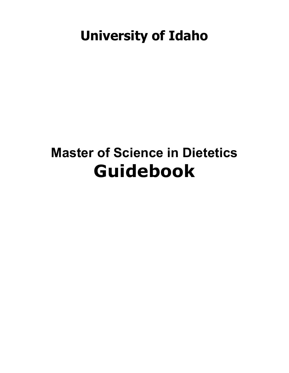### **University of Idaho**

### **Master of Science in Dietetics Guidebook**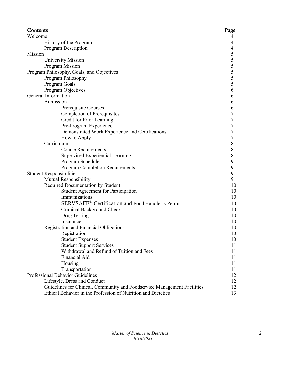| Contents                                                                 | Page      |
|--------------------------------------------------------------------------|-----------|
| Welcome                                                                  | 4         |
| History of the Program                                                   | 4         |
| Program Description                                                      | 4         |
| Mission                                                                  | 5         |
| University Mission                                                       | 5         |
| Program Mission                                                          | 5         |
| Program Philosophy, Goals, and Objectives                                | 5         |
| Program Philosophy                                                       | 5         |
| Program Goals                                                            | 5         |
| Program Objectives                                                       | 6         |
| General Information                                                      | 6         |
| Admission                                                                | 6         |
| Prerequisite Courses                                                     | 6         |
| <b>Completion of Prerequisites</b>                                       | 7         |
| Credit for Prior Learning                                                | 7         |
| Pre-Program Experience                                                   | 7         |
| Demonstrated Work Experience and Certifications                          | 7         |
| How to Apply                                                             | 7         |
| Curriculum                                                               | 8         |
| <b>Course Requirements</b>                                               | $\,$ $\,$ |
| Supervised Experiential Learning                                         | $\,8\,$   |
| Program Schedule                                                         | 9         |
| Program Completion Requirements                                          | 9         |
| <b>Student Responsibilities</b>                                          | 9         |
| Mutual Responsibility                                                    | 9         |
| Required Documentation by Student                                        | 10        |
| <b>Student Agreement for Participation</b>                               | 10        |
| Immunizations                                                            | 10        |
| SERVSAFE® Certification and Food Handler's Permit                        | 10        |
| Criminal Background Check                                                | 10        |
| Drug Testing                                                             | 10        |
| Insurance                                                                | 10        |
| Registration and Financial Obligations                                   | 10        |
| Registration                                                             | 10        |
| <b>Student Expenses</b>                                                  | 10        |
| <b>Student Support Services</b>                                          | 11        |
| Withdrawal and Refund of Tuition and Fees                                | 11        |
| Financial Aid                                                            | 11        |
| Housing                                                                  | 11        |
| Transportation                                                           | 11        |
| Professional Behavior Guidelines                                         | 12        |
| Lifestyle, Dress and Conduct                                             | 12        |
| Guidelines for Clinical, Community and Foodservice Management Facilities | 12        |
| Ethical Behavior in the Profession of Nutrition and Dietetics            | 13        |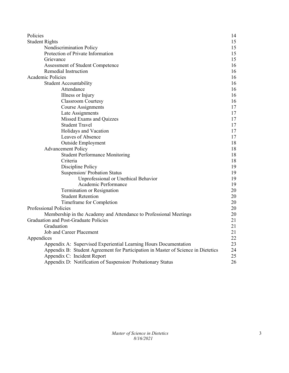| Policies                                                                          | 14 |
|-----------------------------------------------------------------------------------|----|
| <b>Student Rights</b>                                                             | 15 |
| Nondiscrimination Policy                                                          | 15 |
| Protection of Private Information                                                 | 15 |
| Grievance                                                                         | 15 |
| Assessment of Student Competence                                                  | 16 |
| Remedial Instruction                                                              | 16 |
| <b>Academic Policies</b>                                                          | 16 |
| <b>Student Accountability</b>                                                     | 16 |
| Attendance                                                                        | 16 |
| Illness or Injury                                                                 | 16 |
| <b>Classroom Courtesy</b>                                                         | 16 |
| <b>Course Assignments</b>                                                         | 17 |
| Late Assignments                                                                  | 17 |
| Missed Exams and Quizzes                                                          | 17 |
| <b>Student Travel</b>                                                             | 17 |
| Holidays and Vacation                                                             | 17 |
| Leaves of Absence                                                                 | 17 |
| <b>Outside Employment</b>                                                         | 18 |
| <b>Advancement Policy</b>                                                         | 18 |
| <b>Student Performance Monitoring</b>                                             | 18 |
| Criteria                                                                          | 18 |
| Discipline Policy                                                                 | 19 |
| Suspension/ Probation Status                                                      | 19 |
| Unprofessional or Unethical Behavior                                              | 19 |
| Academic Performance                                                              | 19 |
| Termination or Resignation                                                        | 20 |
| <b>Student Retention</b>                                                          | 20 |
| Timeframe for Completion                                                          | 20 |
| Professional Policies                                                             | 20 |
| Membership in the Academy and Attendance to Professional Meetings                 | 20 |
| <b>Graduation and Post-Graduate Policies</b>                                      | 21 |
| Graduation                                                                        | 21 |
| Job and Career Placement                                                          | 21 |
| Appendices                                                                        | 22 |
| Appendix A: Supervised Experiential Learning Hours Documentation                  | 23 |
| Appendix B: Student Agreement for Participation in Master of Science in Dietetics | 24 |
| Appendix C: Incident Report                                                       | 25 |
| Appendix D: Notification of Suspension/ Probationary Status                       | 26 |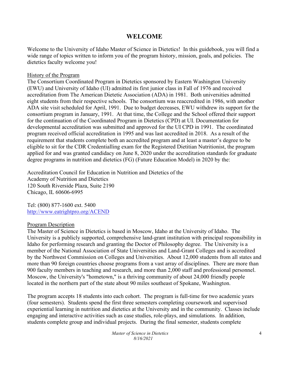### **WELCOME**

Welcome to the University of Idaho Master of Science in Dietetics! In this guidebook, you will find a wide range of topics written to inform you of the program history, mission, goals, and policies. The dietetics faculty welcome you!

### History of the Program

The Consortium Coordinated Program in Dietetics sponsored by Eastern Washington University (EWU) and University of Idaho (UI) admitted its first junior class in Fall of 1976 and received accreditation from The American Dietetic Association (ADA) in 1981. Both universities admitted eight students from their respective schools. The consortium was reaccredited in 1986, with another ADA site visit scheduled for April, 1991. Due to budget decreases, EWU withdrew its support for the consortium program in January, 1991. At that time, the College and the School offered their support for the continuation of the Coordinated Program in Dietetics (CPD) at UI. Documentation for developmental accreditation was submitted and approved for the UI CPD in 1991. The coordinated program received official accreditation in 1995 and was last accredited in 2018. As a result of the requirement that students complete both an accredited program and at least a master's degree to be eligible to sit for the CDR Credentialling exam for the Registered Dietitian Nutritionist, the program applied for and was granted candidacy on June 8, 2020 under the accreditation standards for graduate degree programs in nutrition and dietetics (FG) (Future Education Model) in 2020 by the:

Accreditation Council for Education in Nutrition and Dietetics of the Academy of Nutrition and Dietetics 120 South Riverside Plaza, Suite 2190 Chicago, IL 60606-6995

Tel: (800) 877-1600 ext. 5400 <http://www.eatrightpro.org/ACEND>

### Program Description

The Master of Science in Dietetics is based in Moscow, Idaho at the University of Idaho. The University is a publicly supported, comprehensive land-grant institution with principal responsibility in Idaho for performing research and granting the Doctor of Philosophy degree. The University is a member of the National Association of State Universities and Land-Grant Colleges and is accredited by the Northwest Commission on Colleges and Universities. About 12,000 students from all states and more than 90 foreign countries choose programs from a vast array of disciplines. There are more than 900 faculty members in teaching and research, and more than 2,000 staff and professional personnel. Moscow, the University's "hometown," is a thriving community of about 24,000 friendly people located in the northern part of the state about 90 miles southeast of Spokane, Washington.

The program accepts 18 students into each cohort. The program is full-time for two academic years (four semesters). Students spend the first three semesters completing coursework and supervised experiential learning in nutrition and dietetics at the University and in the community. Classes include engaging and interactive activities such as case studies, role-plays, and simulations. In addition, students complete group and individual projects. During the final semester, students complete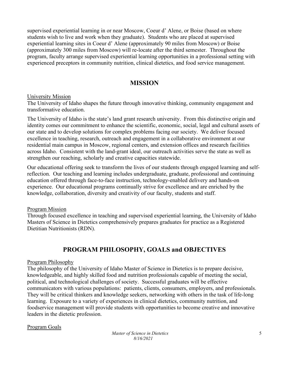supervised experiential learning in or near Moscow, Coeur d' Alene, or Boise (based on where students wish to live and work when they graduate). Students who are placed at supervised experiential learning sites in Coeur d' Alene (approximately 90 miles from Moscow) or Boise (approximately 300 miles from Moscow) will re-locate after the third semester. Throughout the program, faculty arrange supervised experiential learning opportunities in a professional setting with experienced preceptors in community nutrition, clinical dietetics, and food service management.

### **MISSION**

### University Mission

The University of Idaho shapes the future through innovative thinking, community engagement and transformative education.

The University of Idaho is the state's land grant research university. From this distinctive origin and identity comes our commitment to enhance the scientific, economic, social, legal and cultural assets of our state and to develop solutions for complex problems facing our society. We deliver focused excellence in teaching, research, outreach and engagement in a collaborative environment at our residential main campus in Moscow, regional centers, and extension offices and research facilities across Idaho. Consistent with the land-grant ideal, our outreach activities serve the state as well as strengthen our reaching, scholarly and creative capacities statewide.

Our educational offering seek to transform the lives of our students through engaged learning and selfreflection. Our teaching and learning includes undergraduate, graduate, professional and continuing education offered through face-to-face instruction, technology-enabled delivery and hands-on experience. Our educational programs continually strive for excellence and are enriched by the knowledge, collaboration, diversity and creativity of our faculty, students and staff.

### Program Mission

Through focused excellence in teaching and supervised experiential learning, the University of Idaho Masters of Science in Dietetics comprehensively prepares graduates for practice as a Registered Dietitian Nutritionists (RDN).

### **PROGRAM PHILOSOPHY, GOALS and OBJECTIVES**

### Program Philosophy

The philosophy of the University of Idaho Master of Science in Dietetics is to prepare decisive, knowledgeable, and highly skilled food and nutrition professionals capable of meeting the social, political, and technological challenges of society. Successful graduates will be effective communicators with various populations: patients, clients, consumers, employers, and professionals. They will be critical thinkers and knowledge seekers, networking with others in the task of life-long learning. Exposure to a variety of experiences in clinical dietetics, community nutrition, and foodservice management will provide students with opportunities to become creative and innovative leaders in the dietetic profession.

### Program Goals

*Master of Science in Dietetics 8/16/2021*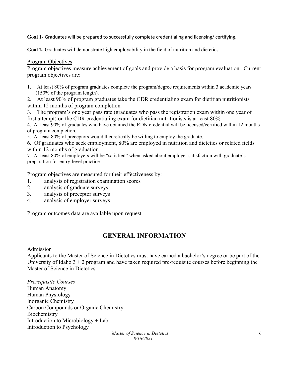**Goal 1-** Graduates will be prepared to successfully complete credentialing and licensing/ certifying.

**Goal 2-** Graduates will demonstrate high employability in the field of nutrition and dietetics.

### Program Objectives

Program objectives measure achievement of goals and provide a basis for program evaluation. Current program objectives are:

- 1. At least 80% of program graduates complete the program/degree requirements within 3 academic years (150% of the program length).
- 2. At least 90% of program graduates take the CDR credentialing exam for dietitian nutritionists within 12 months of program completion.
- 3. The program's one year pass rate (graduates who pass the registration exam within one year of first attempt) on the CDR credentialing exam for dietitian nutritionists is at least 80%.

4.At least 90% of graduates who have obtained the RDN credential will be licensed/certified within 12 months of program completion.

5. At least 80% of preceptors would theoretically be willing to employ the graduate.

6. Of graduates who seek employment, 80% are employed in nutrition and dietetics or related fields within 12 months of graduation.

7. At least 80% of employers will be "satisfied" when asked about employer satisfaction with graduate's preparation for entry-level practice.

Program objectives are measured for their effectiveness by:

- 1. analysis of registration examination scores
- 2. analysis of graduate surveys
- 3. analysis of preceptor surveys
- 4. analysis of employer surveys

Program outcomes data are available upon request.

### **GENERAL INFORMATION**

#### Admission

Applicants to the Master of Science in Dietetics must have earned a bachelor's degree or be part of the University of Idaho  $3 + 2$  program and have taken required pre-requisite courses before beginning the Master of Science in Dietetics.

*Prerequisite Courses* Human Anatomy Human Physiology Inorganic Chemistry Carbon Compounds or Organic Chemistry Biochemistry Introduction to Microbiology + Lab Introduction to Psychology

> *Master of Science in Dietetics 8/16/2021*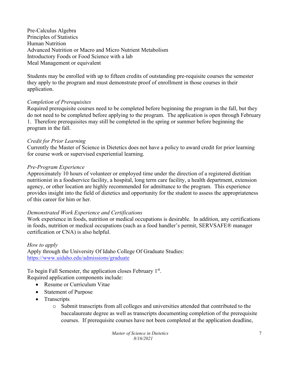Pre-Calculus Algebra Principles of Statistics Human Nutrition Advanced Nutrition or Macro and Micro Nutrient Metabolism Introductory Foods or Food Science with a lab Meal Management or equivalent

Students may be enrolled with up to fifteen credits of outstanding pre-requisite courses the semester they apply to the program and must demonstrate proof of enrollment in those courses in their application.

### *Completion of Prerequisites*

Required prerequisite courses need to be completed before beginning the program in the fall, but they do not need to be completed before applying to the program. The application is open through February 1. Therefore prerequisites may still be completed in the spring or summer before beginning the program in the fall.

### *Credit for Prior Learning*

Currently the Master of Science in Dietetics does not have a policy to award credit for prior learning for course work or supervised experiential learning.

### *Pre-Program Experience*

Approximately 10 hours of volunteer or employed time under the direction of a registered dietitian nutritionist in a foodservice facility, a hospital, long term care facility, a health department, extension agency, or other location are highly recommended for admittance to the program. This experience provides insight into the field of dietetics and opportunity for the student to assess the appropriateness of this career for him or her.

### *Demonstrated Work Experience and Certifications*

Work experience in foods, nutrition or medical occupations is desirable. In addition, any certifications in foods, nutrition or medical occupations (such as a food handler's permit, SERVSAFE® manager certification or CNA) is also helpful.

### *How to apply*

Apply through the University Of Idaho College Of Graduate Studies: <https://www.uidaho.edu/admissions/graduate>

To begin Fall Semester, the application closes February 1<sup>st</sup>. Required application components include:

- Resume or Curriculum Vitae
- Statement of Purpose
- Transcripts
	- o Submit transcripts from all colleges and universities attended that contributed to the baccalaureate degree as well as transcripts documenting completion of the prerequisite courses. If prerequisite courses have not been completed at the application deadline,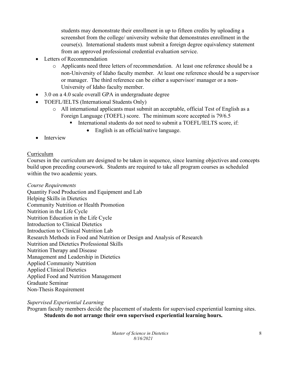students may demonstrate their enrollment in up to fifteen credits by uploading a screenshot from the college/ university website that demonstrates enrollment in the course(s). International students must submit a foreign degree equivalency statement from an approved professional credential evaluation service.

- Letters of Recommendation
	- o Applicants need three letters of recommendation. At least one reference should be a non-University of Idaho faculty member. At least one reference should be a supervisor or manager. The third reference can be either a supervisor/ manager or a non-University of Idaho faculty member.
- 3.0 on a 4.0 scale overall GPA in undergraduate degree
- TOEFL/IELTS (International Students Only)
	- o All international applicants must submit an acceptable, official Test of English as a Foreign Language (TOEFL) score. The minimum score accepted is 79/6.5
		- International students do not need to submit a TOEFL/IELTS score, if:
			- English is an official/native language.
- Interview

### Curriculum

Courses in the curriculum are designed to be taken in sequence, since learning objectives and concepts build upon preceding coursework. Students are required to take all program courses as scheduled within the two academic years.

*Course Requirements*  Quantity Food Production and Equipment and Lab Helping Skills in Dietetics Community Nutrition or Health Promotion Nutrition in the Life Cycle Nutrition Education in the Life Cycle Introduction to Clinical Dietetics Introduction to Clinical Nutrition Lab Research Methods in Food and Nutrition or Design and Analysis of Research Nutrition and Dietetics Professional Skills Nutrition Therapy and Disease Management and Leadership in Dietetics Applied Community Nutrition Applied Clinical Dietetics Applied Food and Nutrition Management Graduate Seminar Non-Thesis Requirement

*Supervised Experiential Learning* 

Program faculty members decide the placement of students for supervised experiential learning sites. **Students do not arrange their own supervised experiential learning hours.**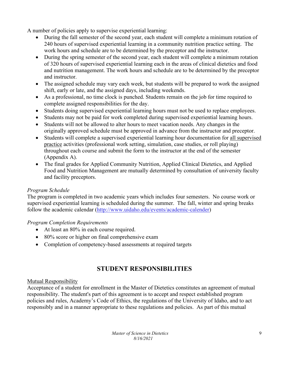A number of policies apply to supervise experiential learning:

- During the fall semester of the second year, each student will complete a minimum rotation of 240 hours of supervised experiential learning in a community nutrition practice setting. The work hours and schedule are to be determined by the preceptor and the instructor.
- During the spring semester of the second year, each student will complete a minimum rotation of 320 hours of supervised experiential learning each in the areas of clinical dietetics and food and nutrition management. The work hours and schedule are to be determined by the preceptor and instructor.
- The assigned schedule may vary each week, but students will be prepared to work the assigned shift, early or late, and the assigned days, including weekends.
- As a professional, no time clock is punched. Students remain on the job for time required to complete assigned responsibilities for the day.
- Students doing supervised experiential learning hours must not be used to replace employees.
- Students may not be paid for work completed during supervised experiential learning hours.
- Students will not be allowed to alter hours to meet vacation needs. Any changes in the originally approved schedule must be approved in advance from the instructor and preceptor.
- Students will complete a supervised experiential learning hour documentation for all supervised practice activities (professional work setting, simulation, case studies, or roll playing) throughout each course and submit the form to the instructor at the end of the semester (Appendix A).
- The final grades for Applied Community Nutrition, Applied Clinical Dietetics, and Applied Food and Nutrition Management are mutually determined by consultation of university faculty and facility preceptors.

### *Program Schedule*

The program is completed in two academic years which includes four semesters. No course work or supervised experiential learning is scheduled during the summer. The fall, winter and spring breaks follow the academic calendar [\(http://www.uidaho.edu/events/academic-calender\)](http://www.uidaho.edu/events/academic-calender)

### *Program Completion Requirements*

- At least an 80% in each course required.
- 80% score or higher on final comprehensive exam
- Completion of competency-based assessments at required targets

### **STUDENT RESPONSIBILITIES**

### Mutual Responsibility

Acceptance of a student for enrollment in the Master of Dietetics constitutes an agreement of mutual responsibility. The student's part of this agreement is to accept and respect established program policies and rules, Academy's Code of Ethics, the regulations of the University of Idaho, and to act responsibly and in a manner appropriate to these regulations and policies. As part of this mutual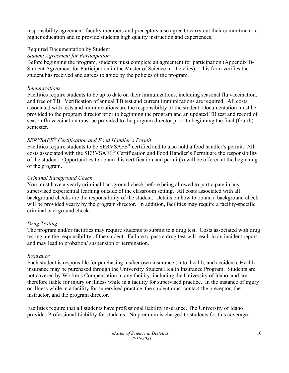responsibility agreement, faculty members and preceptors also agree to carry out their commitment to higher education and to provide students high quality instruction and experiences.

### Required Documentation by Student

### *Student Agreement for Participation*

Before beginning the program, students must complete an agreement for participation (Appendix B-Student Agreement for Participation in the Master of Science in Dietetics). This form verifies the student has received and agrees to abide by the policies of the program.

### *Immunizations*

Facilities require students to be up to date on their immunizations, including seasonal flu vaccination, and free of TB. Verification of annual TB test and current immunizations are required. All costs associated with tests and immunizations are the responsibility of the student. Documentation must be provided to the program director prior to beginning the program and an updated TB test and record of season flu vaccination must be provided to the program director prior to beginning the final (fourth) semester.

### *SERVSAFE® Certification and Food Handler's Permit*

Facilities require students to be SERVSAFE® certified and to also hold a food handler's permit. All costs associated with the SERVSAFE® Certification and Food Handler's Permit are the responsibility of the student. Opportunities to obtain this certification and permit(s) will be offered at the beginning of the program.

### *Criminal Background Check*

You must have a yearly criminal background check before being allowed to participate in any supervised experiential learning outside of the classroom setting. All costs associated with all background checks are the responsibility of the student. Details on how to obtain a background check will be provided yearly by the program director. In addition, facilities may require a facility-specific criminal background check.

### *Drug Testing*

The program and/or facilities may require students to submit to a drug test. Costs associated with drug testing are the responsibility of the student. Failure to pass a drug test will result in an incident report and may lead to probation/ suspension or termination.

### *Insurance*

Each student is responsible for purchasing his/her own insurance (auto, health, and accident). Health insurance may be purchased through the University Student Health Insurance Program. Students are not covered by Worker's Compensation in any facility, including the University of Idaho, and are therefore liable for injury or illness while in a facility for supervised practice. In the instance of injury or illness while in a facility for supervised practice, the student must contact the preceptor, the instructor, and the program director.

Facilities require that all students have professional liability insurance. The University of Idaho provides Professional Liability for students. No premium is charged to students for this coverage.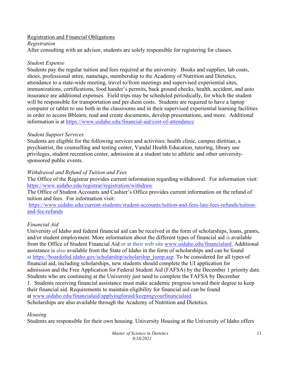### Registration and Financial Obligations

### *Registration*

After consulting with an advisor, students are solely responsible for registering for classes.

### *Student Expense*

Students pay the regular tuition and fees required at the university. Books and supplies, lab coats, shoes, professional attire, nametags, membership to the Academy of Nutrition and Dietetics, attendance to a state-wide meeting, travel to/from meetings and supervised experiential sites, immunizations, certifications, food hander's permits, back ground checks, health, accident, and auto insurance are additional expenses. Field trips may be scheduled periodically, for which the student will be responsible for transportation and per diem costs. Students are required to have a laptop computer or tablet to use both in the classrooms and in their supervised experiential learning facilities in order to access Bblearn, read and create documents, develop presentations, and more. Additional information is at<https://www.uidaho.edu/financial-aid/cost-of-attendance>

### *Student Support Services*

Students are eligible for the following services and activities: health clinic, campus dietitian, a psychiatrist, the counselling and testing center, Vandal Health Education, tutoring, library use privileges, student recreation center, admission at a student rate to athletic and other universitysponsored public events.

### *Withdrawal and Refund of Tuition and Fees*

The Office of the Registrar provides current information regarding withdrawal. For information visit: <https://www.uidaho.edu/registrar/registration/withdraw>

The Office of Student Accounts and Cashier's Office provides current information on the refund of tuition and fees. For information visit:

[https://www.uidaho.edu/current-students/student-accounts/tuition-and-fees-late-fees-refunds/tuition](https://www.uidaho.edu/current-students/student-accounts/tuition-and-fees-late-fees-refunds/tuition-and-fee-refunds)[and-fee-refunds](https://www.uidaho.edu/current-students/student-accounts/tuition-and-fees-late-fees-refunds/tuition-and-fee-refunds)

### *Financial Aid*

University of Idaho and federal financial aid can be received in the form of scholarships, loans, grants, and/or student employment. More information about the different types of financial aid is available from the Office of Student Financial Aid or at their web site [www.uidaho.edu/financialaid.](http://www.uidaho.edu/financialaid) Additional assistance is also available from the State of Idaho in the form of scholarships and can be found at [https://boardofed.idaho.gov/scholarship/scholarship\\_jump.asp.](https://boardofed.idaho.gov/scholarship/scholarship_jump.asp) To be considered for all types of financial aid, including scholarships, new students should complete the UI application for admission and the Free Application for Federal Student Aid (FAFSA) by the December 1 priority date. Students who are continuing at the University just need to complete the FAFSA by December 1. Students receiving financial assistance must make academic progress toward their degree to keep their financial aid. Requirements to maintain eligibility for financial aid can be found at [www.uidaho.edu/financialaid/applyingforaid/keepingyourfinancialaid.](http://www.uidaho.edu/financialaid/applyingforaid/keepingyourfinancialaid) Scholarships are also available through the Academy of Nutrition and Dietetics.

### *Housing*

Students are responsible for their own housing. University Housing at the University of Idaho offers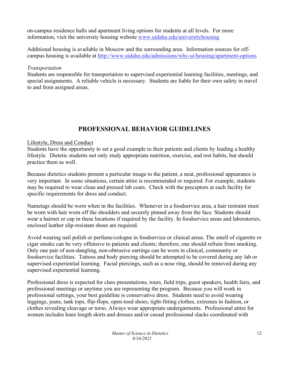on-campus residence halls and apartment living options for students at all levels. For more information, visit the university housing website [www.uidaho.edu/universityhousing](http://www.uidaho.edu/universityhousing)

Additional housing is available in Moscow and the surrounding area. Information sources for offcampus housing is available at<http://www.uidaho.edu/admissions/why-ui/housing/apartment-options>

### *Transportation*

Students are responsible for transportation to supervised experiential learning facilities, meetings, and special assignments. A reliable vehicle is necessary. Students are liable for their own safety in travel to and from assigned areas.

### **PROFESSIONAL BEHAVIOR GUIDELINES**

### Lifestyle, Dress and Conduct

Students have the opportunity to set a good example to their patients and clients by leading a healthy lifestyle. Dietetic students not only study appropriate nutrition, exercise, and rest habits, but should practice them as well.

Because dietetics students present a particular image to the patient, a neat, professional appearance is very important. In some situations, certain attire is recommended or required. For example, students may be required to wear clean and pressed lab coats. Check with the preceptors at each facility for specific requirements for dress and conduct.

Nametags should be worn when in the facilities. Whenever in a foodservice area, a hair restraint must be worn with hair worn off the shoulders and securely pinned away from the face. Students should wear a hairnet or cap in these locations if required by the facility. In foodservice areas and laboratories, enclosed leather slip-resistant shoes are required.

Avoid wearing nail polish or perfume/cologne in foodservice or clinical areas. The smell of cigarette or cigar smoke can be very offensive to patients and clients; therefore, one should refrain from smoking. Only one pair of non-dangling, non-obtrusive earrings can be worn in clinical, community or foodservice facilities. Tattoos and body piercing should be attempted to be covered during any lab or supervised experiential learning. Facial piercings, such as a nose ring, should be removed during any supervised experiential learning.

Professional dress is expected for class presentations, tours, field trips, guest speakers, health fairs, and professional meetings or anytime you are representing the program. Because you will work in professional settings, your best guideline is conservative dress. Students need to avoid wearing leggings, jeans, tank tops, flip-flops, open-toed shoes, tight-fitting clothes, extremes in fashion, or clothes revealing cleavage or torso. Always wear appropriate undergarments. Professional attire for women includes knee length skirts and dresses and/or casual professional slacks coordinated with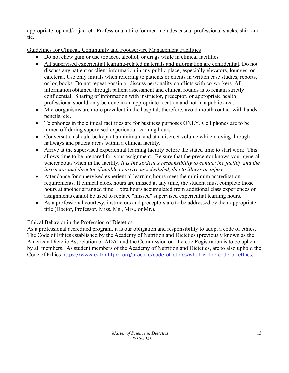appropriate top and/or jacket. Professional attire for men includes casual professional slacks, shirt and tie.

Guidelines for Clinical, Community and Foodservice Management Facilities

- Do not chew gum or use tobacco, alcohol, or drugs while in clinical facilities.
- All supervised experiential learning-related materials and information are confidential. Do not discuss any patient or client information in any public place, especially elevators, lounges, or cafeteria. Use only initials when referring to patients or clients in written case studies, reports, or log books. Do not repeat gossip or discuss personality conflicts with co-workers. All information obtained through patient assessment and clinical rounds is to remain strictly confidential. Sharing of information with instructor, preceptor, or appropriate health professional should only be done in an appropriate location and not in a public area.
- Microorganisms are more prevalent in the hospital; therefore, avoid mouth contact with hands, pencils, etc.
- Telephones in the clinical facilities are for business purposes ONLY. Cell phones are to be turned off during supervised experiential learning hours.
- Conversation should be kept at a minimum and at a discreet volume while moving through hallways and patient areas within a clinical facility.
- Arrive at the supervised experiential learning facility before the stated time to start work. This allows time to be prepared for your assignment. Be sure that the preceptor knows your general whereabouts when in the facility. *It is the student's responsibility to contact the facility and the instructor and director if unable to arrive as scheduled, due to illness or injury.*
- Attendance for supervised experiential learning hours meet the minimum accreditation requirements. If clinical clock hours are missed at any time, the student must complete those hours at another arranged time. Extra hours accumulated from additional class experiences or assignments cannot be used to replace "missed" supervised experiential learning hours.
- As a professional courtesy, instructors and preceptors are to be addressed by their appropriate title (Doctor, Professor, Miss, Ms., Mrs., or Mr.).

### Ethical Behavior in the Profession of Dietetics

As a professional accredited program, it is our obligation and responsibility to adopt a code of ethics. The Code of Ethics established by the Academy of Nutrition and Dietetics (previously known as the American Dietetic Association or ADA) and the Commission on Dietetic Registration is to be upheld by all members. As student members of the Academy of Nutrition and Dietetics, are to also uphold the Code of Ethics <https://www.eatrightpro.org/practice/code-of-ethics/what-is-the-code-of-ethics>.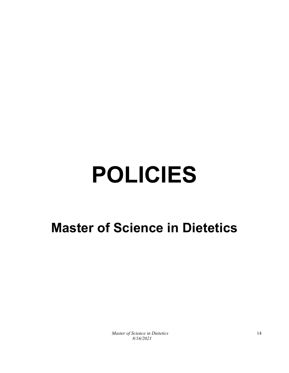# **POLICIES**

### **Master of Science in Dietetics**

*Master of Science in Dietetics 8/16/2021*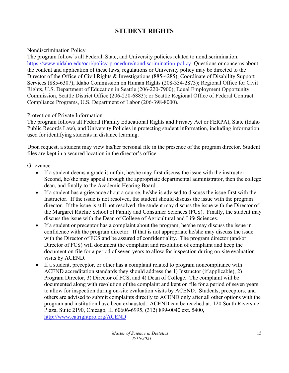### **STUDENT RIGHTS**

### Nondiscrimination Policy

The program follow's all Federal, State, and University policies related to nondiscrimination. <https://www.uidaho.edu/ocri/policy-procedure/nondiscrimination-policy>Questions or concerns about the content and application of these laws, regulations or University policy may be directed to the Director of the Office of Civil Rights & Investigations (885-4285); Coordinate of Disability Support Services (885-6307); Idaho Commission on Human Rights (208-334-2873); Regional Office for Civil Rights, U.S. Department of Education in Seattle (206-220-7900); Equal Employment Opportunity Commission, Seattle District Office (206-220-6883); or Seattle Regional Office of Federal Contract Compliance Programs, U.S. Department of Labor (206-398-8000).

### Protection of Private Information

The program follows all Federal (Family Educational Rights and Privacy Act or FERPA), State (Idaho Public Records Law), and University Policies in protecting student information, including information used for identifying students in distance learning.

Upon request, a student may view his/her personal file in the presence of the program director. Student files are kept in a secured location in the director's office.

### Grievance

- If a student deems a grade is unfair, he/she may first discuss the issue with the instructor. Second, he/she may appeal through the appropriate departmental administrator, then the college dean, and finally to the Academic Hearing Board.
- If a student has a grievance about a course, he/she is advised to discuss the issue first with the Instructor. If the issue is not resolved, the student should discuss the issue with the program director. If the issue is still not resolved, the student may discuss the issue with the Director of the Margaret Ritchie School of Family and Consumer Sciences (FCS). Finally, the student may discuss the issue with the Dean of College of Agricultural and Life Sciences.
- If a student or preceptor has a complaint about the program, he/she may discuss the issue in confidence with the program director. If that is not appropriate he/she may discuss the issue with the Director of FCS and be assured of confidentiality. The program director (and/or Director of FCS) will document the complaint and resolution of complaint and keep the document on file for a period of seven years to allow for inspection during on-site evaluation visits by ACEND.
- If a student, preceptor, or other has a complaint related to program noncompliance with ACEND accreditation standards they should address the 1) Instructor (if applicable), 2) Program Director, 3) Director of FCS, and 4) Dean of College. The complaint will be documented along with resolution of the complaint and kept on file for a period of seven years to allow for inspection during on-site evaluation visits by ACEND. Students, preceptors, and others are advised to submit complaints directly to ACEND only after all other options with the program and institution have been exhausted. ACEND can be reached at: 120 South Riverside Plaza, Suite 2190, Chicago, IL 60606-6995, (312) 899-0040 ext. 5400, <http://www.eatrightpro.org/ACEND>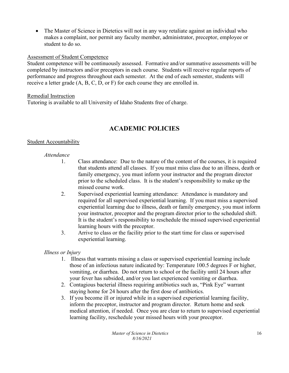• The Master of Science in Dietetics will not in any way retaliate against an individual who makes a complaint, nor permit any faculty member, administrator, preceptor, employee or student to do so.

### Assessment of Student Competence

Student competence will be continuously assessed. Formative and/or summative assessments will be completed by instructors and/or preceptors in each course. Students will receive regular reports of performance and progress throughout each semester. At the end of each semester, students will receive a letter grade (A, B, C, D, or F) for each course they are enrolled in.

### Remedial Instruction

Tutoring is available to all University of Idaho Students free of charge.

### **ACADEMIC POLICIES**

### Student Accountability

### *Attendance*

- 1. Class attendance: Due to the nature of the content of the courses, it is required that students attend all classes. If you must miss class due to an illness, death or family emergency, you must inform your instructor and the program director prior to the scheduled class. It is the student's responsibility to make up the missed course work.
- 2. Supervised experiential learning attendance: Attendance is mandatory and required for all supervised experiential learning. If you must miss a supervised experiential learning due to illness, death or family emergency, you must inform your instructor, preceptor and the program director prior to the scheduled shift. It is the student's responsibility to reschedule the missed supervised experiential learning hours with the preceptor.
- 3. Arrive to class or the facility prior to the start time for class or supervised experiential learning.

### *Illness or Injury*

- 1. Illness that warrants missing a class or supervised experiential learning include those of an infectious nature indicated by: Temperature 100.5 degrees F or higher, vomiting, or diarrhea. Do not return to school or the facility until 24 hours after your fever has subsided, and/or you last experienced vomiting or diarrhea.
- 2. Contagious bacterial illness requiring antibiotics such as, "Pink Eye" warrant staying home for 24 hours after the first dose of antibiotics.
- 3. If you become ill or injured while in a supervised experiential learning facility, inform the preceptor, instructor and program director. Return home and seek medical attention, if needed. Once you are clear to return to supervised experiential learning facility, reschedule your missed hours with your preceptor.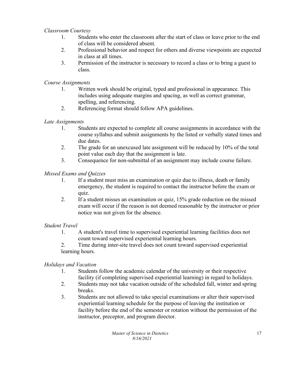### *Classroom Courtesy*

- 1. Students who enter the classroom after the start of class or leave prior to the end of class will be considered absent.
- 2. Professional behavior and respect for others and diverse viewpoints are expected in class at all times.
- 3. Permission of the instructor is necessary to record a class or to bring a guest to class.

### *Course Assignments*

- 1. Written work should be original, typed and professional in appearance. This includes using adequate margins and spacing, as well as correct grammar, spelling, and referencing.
- 2. Referencing format should follow APA guidelines.

### *Late Assignments*

- 1. Students are expected to complete all course assignments in accordance with the course syllabus and submit assignments by the listed or verbally stated times and due dates.
- 2. The grade for an unexcused late assignment will be reduced by 10% of the total point value each day that the assignment is late.
- 3. Consequence for non-submittal of an assignment may include course failure.

### *Missed Exams and Quizzes*

- 1. If a student must miss an examination or quiz due to illness, death or family emergency, the student is required to contact the instructor before the exam or quiz.
- 2. If a student misses an examination or quiz, 15% grade reduction on the missed exam will occur if the reason is not deemed reasonable by the instructor or prior notice was not given for the absence.

### *Student Travel*

- 1. A student's travel time to supervised experiential learning facilities does not count toward supervised experiential learning hours.
- 2. Time during inter-site travel does not count toward supervised experiential learning hours.

### *Holidays and Vacation*

- 1. Students follow the academic calendar of the university or their respective facility (if completing supervised experiential learning) in regard to holidays.
- 2. Students may not take vacation outside of the scheduled fall, winter and spring breaks.
- 3. Students are not allowed to take special examinations or alter their supervised experiential learning schedule for the purpose of leaving the institution or facility before the end of the semester or rotation without the permission of the instructor, preceptor, and program director.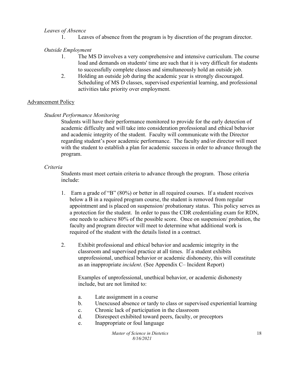### *Leaves of Absence*

1. Leaves of absence from the program is by discretion of the program director.

### *Outside Employment*

- 1. The MS D involves a very comprehensive and intensive curriculum. The course load and demands on students' time are such that it is very difficult for students to successfully complete classes and simultaneously hold an outside job.
- 2. Holding an outside job during the academic year is strongly discouraged. Scheduling of MS D classes, supervised experiential learning, and professional activities take priority over employment.

### Advancement Policy

### *Student Performance Monitoring*

Students will have their performance monitored to provide for the early detection of academic difficulty and will take into consideration professional and ethical behavior and academic integrity of the student. Faculty will communicate with the Director regarding student's poor academic performance. The faculty and/or director will meet with the student to establish a plan for academic success in order to advance through the program.

### *Criteria*

Students must meet certain criteria to advance through the program. Those criteria include:

- 1. Earn a grade of "B" (80%) or better in all required courses. If a student receives below a B in a required program course, the student is removed from regular appointment and is placed on suspension/ probationary status. This policy serves as a protection for the student. In order to pass the CDR credentialing exam for RDN, one needs to achieve 80% of the possible score. Once on suspension/ probation, the faculty and program director will meet to determine what additional work is required of the student with the details listed in a contract.
- 2. Exhibit professional and ethical behavior and academic integrity in the classroom and supervised practice at all times. If a student exhibits unprofessional, unethical behavior or academic dishonesty, this will constitute as an inappropriate *incident*. (See Appendix C– Incident Report)

Examples of unprofessional, unethical behavior, or academic dishonesty include, but are not limited to:

- a. Late assignment in a course
- b. Unexcused absence or tardy to class or supervised experiential learning
- c. Chronic lack of participation in the classroom
- d. Disrespect exhibited toward peers, faculty, or preceptors
- e. Inappropriate or foul language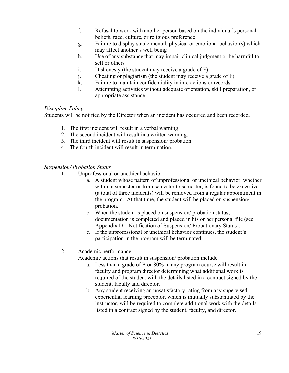- f. Refusal to work with another person based on the individual's personal beliefs, race, culture, or religious preference
- g. Failure to display stable mental, physical or emotional behavior(s) which may affect another's well being
- h. Use of any substance that may impair clinical judgment or be harmful to self or others
- i. Dishonesty (the student may receive a grade of F)
- j. Cheating or plagiarism (the student may receive a grade of F)
- k. Failure to maintain confidentiality in interactions or records
- l. Attempting activities without adequate orientation, skill preparation, or appropriate assistance

### *Discipline Policy*

Students will be notified by the Director when an incident has occurred and been recorded.

- 1. The first incident will result in a verbal warning
- 2. The second incident will result in a written warning.
- 3. The third incident will result in suspension/ probation.
- 4. The fourth incident will result in termination.

### *Suspension/ Probation Status*

- 1. Unprofessional or unethical behavior
	- a. A student whose pattern of unprofessional or unethical behavior, whether within a semester or from semester to semester, is found to be excessive (a total of three incidents) will be removed from a regular appointment in the program. At that time, the student will be placed on suspension/ probation.
	- b. When the student is placed on suspension/ probation status, documentation is completed and placed in his or her personal file (see Appendix D – Notification of Suspension/ Probationary Status).
	- c. If the unprofessional or unethical behavior continues, the student's participation in the program will be terminated.
- 2. Academic performance

Academic actions that result in suspension/ probation include:

- a. Less than a grade of B or 80% in any program course will result in faculty and program director determining what additional work is required of the student with the details listed in a contract signed by the student, faculty and director.
- b. Any student receiving an unsatisfactory rating from any supervised experiential learning preceptor, which is mutually substantiated by the instructor, will be required to complete additional work with the details listed in a contract signed by the student, faculty, and director.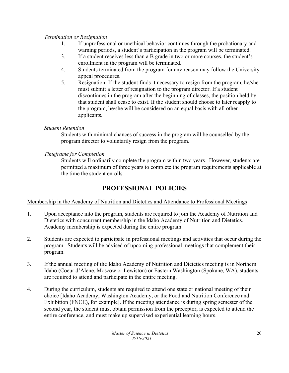### *Termination or Resignation*

- 1. If unprofessional or unethical behavior continues through the probationary and warning periods, a student's participation in the program will be terminated.
- 3. If a student receives less than a B grade in two or more courses, the student's enrollment in the program will be terminated.
- 4. Students terminated from the program for any reason may follow the University appeal procedures.
- 5. Resignation: If the student finds it necessary to resign from the program, he/she must submit a letter of resignation to the program director. If a student discontinues in the program after the beginning of classes, the position held by that student shall cease to exist. If the student should choose to later reapply to the program, he/she will be considered on an equal basis with all other applicants.

### *Student Retention*

Students with minimal chances of success in the program will be counselled by the program director to voluntarily resign from the program.

### *Timeframe for Completion*

Students will ordinarily complete the program within two years. However, students are permitted a maximum of three years to complete the program requirements applicable at the time the student enrolls.

### **PROFESSIONAL POLICIES**

### Membership in the Academy of Nutrition and Dietetics and Attendance to Professional Meetings

- 1. Upon acceptance into the program, students are required to join the Academy of Nutrition and Dietetics with concurrent membership in the Idaho Academy of Nutrition and Dietetics. Academy membership is expected during the entire program.
- 2. Students are expected to participate in professional meetings and activities that occur during the program. Students will be advised of upcoming professional meetings that complement their program.
- 3. If the annual meeting of the Idaho Academy of Nutrition and Dietetics meeting is in Northern Idaho (Coeur d'Alene, Moscow or Lewiston) or Eastern Washington (Spokane, WA), students are required to attend and participate in the entire meeting.
- 4. During the curriculum, students are required to attend one state or national meeting of their choice [Idaho Academy, Washington Academy, or the Food and Nutrition Conference and Exhibition (FNCE), for example]. If the meeting attendance is during spring semester of the second year, the student must obtain permission from the preceptor, is expected to attend the entire conference, and must make up supervised experiential learning hours.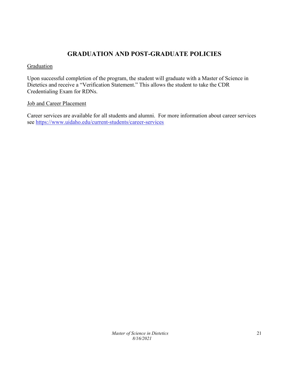### **GRADUATION AND POST-GRADUATE POLICIES**

### **Graduation**

Upon successful completion of the program, the student will graduate with a Master of Science in Dietetics and receive a "Verification Statement." This allows the student to take the CDR Credentialing Exam for RDNs.

### Job and Career Placement

Career services are available for all students and alumni. For more information about career services see<https://www.uidaho.edu/current-students/career-services>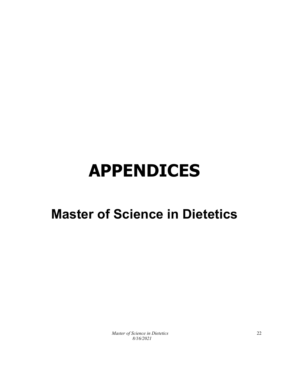## **APPENDICES**

### **Master of Science in Dietetics**

*Master of Science in Dietetics 8/16/2021*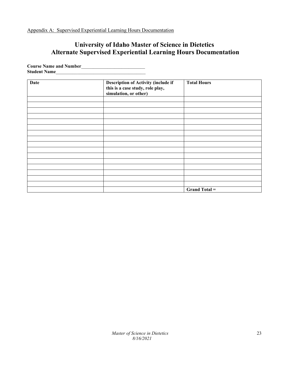Appendix A: Supervised Experiential Learning Hours Documentation

### **University of Idaho Master of Science in Dietetics Alternate Supervised Experiential Learning Hours Documentation**

**Course Name and Number**\_\_\_\_\_\_\_\_\_\_\_\_\_\_\_\_\_\_\_\_\_\_\_\_\_\_\_ Student Name

| <b>Date</b> | Description of Activity (include if<br>this is a case study, role play,<br>simulation, or other) | <b>Total Hours</b>   |
|-------------|--------------------------------------------------------------------------------------------------|----------------------|
|             |                                                                                                  |                      |
|             |                                                                                                  |                      |
|             |                                                                                                  |                      |
|             |                                                                                                  |                      |
|             |                                                                                                  |                      |
|             |                                                                                                  |                      |
|             |                                                                                                  |                      |
|             |                                                                                                  |                      |
|             |                                                                                                  |                      |
|             |                                                                                                  |                      |
|             |                                                                                                  |                      |
|             |                                                                                                  |                      |
|             |                                                                                                  |                      |
|             |                                                                                                  |                      |
|             |                                                                                                  |                      |
|             |                                                                                                  |                      |
|             |                                                                                                  | <b>Grand Total =</b> |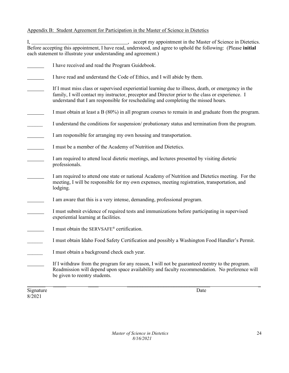### Appendix B: Student Agreement for Participation in the Master of Science in Dietetics

I, 1. All 2012 Comparison of Science in Dietetics. Before accepting this appointment, I have read, understood, and agree to uphold the following: (Please **initial**  each statement to illustrate your understanding and agreement.)

- I have received and read the Program Guidebook.
- I have read and understand the Code of Ethics, and I will abide by them.
- If I must miss class or supervised experiential learning due to illness, death, or emergency in the family, I will contact my instructor, preceptor and Director prior to the class or experience. I understand that I am responsible for rescheduling and completing the missed hours.
- I must obtain at least a B (80%) in all program courses to remain in and graduate from the program.
- I understand the conditions for suspension/ probationary status and termination from the program.
- I am responsible for arranging my own housing and transportation.
- I must be a member of the Academy of Nutrition and Dietetics.
- I am required to attend local dietetic meetings, and lectures presented by visiting dietetic professionals.
- I am required to attend one state or national Academy of Nutrition and Dietetics meeting. For the meeting, I will be responsible for my own expenses, meeting registration, transportation, and lodging.
- I am aware that this is a very intense, demanding, professional program.
- I must submit evidence of required tests and immunizations before participating in supervised experiential learning at facilities.
- I must obtain the SERVSAFE® certification.
- \_\_\_\_\_\_ I must obtain Idaho Food Safety Certification and possibly a Washington Food Handler's Permit.
- I must obtain a background check each year.
- If I withdraw from the program for any reason, I will not be guaranteed reentry to the program. Readmission will depend upon space availability and faculty recommendation. No preference will be given to reentry students.

\_\_\_\_\_\_\_ \_\_\_\_\_ \_\_\_\_ \_\_\_\_\_\_\_\_\_\_\_\_\_\_\_\_\_\_\_\_\_\_\_\_\_\_\_\_\_\_\_\_ \_

Signature Date 8/2021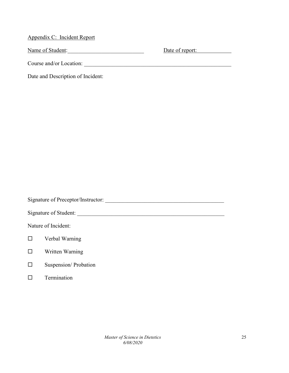Appendix C: Incident Report Name of Student: <u>Name of Student:</u> Course and/or Location: Date and Description of Incident:

Signature of Preceptor/Instructor: \_\_\_\_\_\_\_\_\_\_\_\_\_\_\_\_\_\_\_\_\_\_\_\_\_\_\_\_\_\_\_\_\_\_\_\_\_\_\_\_\_\_ Signature of Student: \_\_\_\_\_\_\_\_\_\_\_\_\_\_\_\_\_\_\_\_\_\_\_\_\_\_\_\_\_\_\_\_\_\_\_\_\_\_\_\_\_\_\_\_\_\_\_\_\_\_\_\_ Nature of Incident: Verbal Warning Written Warning  $\square$  Suspension/ Probation  $\square$  Termination